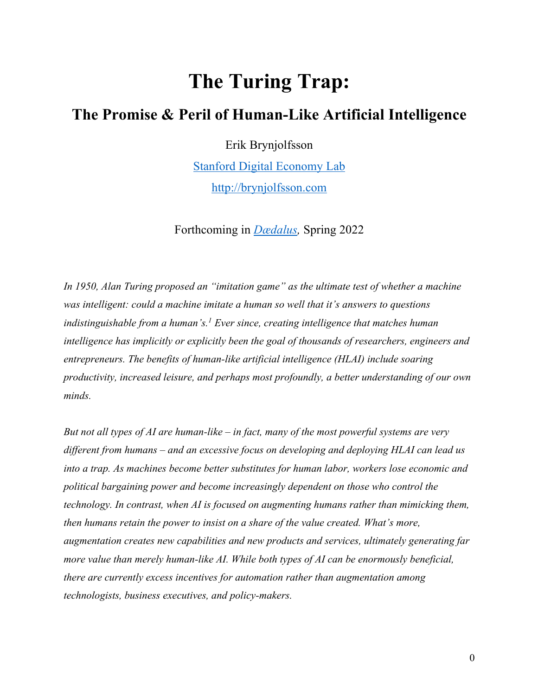## **The Turing Trap:**

## **The Promise & Peril of Human-Like Artificial Intelligence**

Erik Brynjolfsson

Stanford Digital Economy Lab http://brynjolfsson.com

Forthcoming in *Dædalus,* Spring 2022

*In 1950, Alan Turing proposed an "imitation game" as the ultimate test of whether a machine was intelligent: could a machine imitate a human so well that it's answers to questions indistinguishable from a human's. <sup>1</sup> Ever since, creating intelligence that matches human intelligence has implicitly or explicitly been the goal of thousands of researchers, engineers and entrepreneurs. The benefits of human-like artificial intelligence (HLAI) include soaring productivity, increased leisure, and perhaps most profoundly, a better understanding of our own minds.*

*But not all types of AI are human-like – in fact, many of the most powerful systems are very different from humans – and an excessive focus on developing and deploying HLAI can lead us into a trap. As machines become better substitutes for human labor, workers lose economic and political bargaining power and become increasingly dependent on those who control the technology. In contrast, when AI is focused on augmenting humans rather than mimicking them, then humans retain the power to insist on a share of the value created. What's more, augmentation creates new capabilities and new products and services, ultimately generating far more value than merely human-like AI. While both types of AI can be enormously beneficial, there are currently excess incentives for automation rather than augmentation among technologists, business executives, and policy-makers.*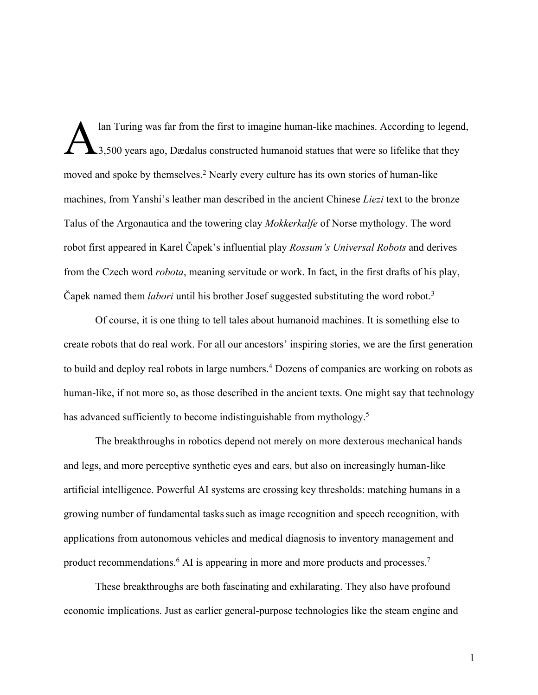lan Turing was far from the first to imagine human-like machines. According to legend, 1.500 years ago, Dædalus constructed humanoid statues that were so lifelike that they moved and spoke by themselves.<sup>2</sup> Nearly every culture has its own stories of human-like machines, from Yanshi's leather man described in the ancient Chinese *Liezi* text to the bronze Talus of the Argonautica and the towering clay *Mokkerkalfe* of Norse mythology. The word robot first appeared in Karel Čapek's influential play *Rossum's Universal Robots* and derives from the Czech word *robota*, meaning servitude or work. In fact, in the first drafts of his play, Čapek named them *labori* until his brother Josef suggested substituting the word robot.3 A

Of course, it is one thing to tell tales about humanoid machines. It is something else to create robots that do real work. For all our ancestors' inspiring stories, we are the first generation to build and deploy real robots in large numbers.4 Dozens of companies are working on robots as human-like, if not more so, as those described in the ancient texts. One might say that technology has advanced sufficiently to become indistinguishable from mythology.<sup>5</sup>

The breakthroughs in robotics depend not merely on more dexterous mechanical hands and legs, and more perceptive synthetic eyes and ears, but also on increasingly human-like artificial intelligence. Powerful AI systems are crossing key thresholds: matching humans in a growing number of fundamental taskssuch as image recognition and speech recognition, with applications from autonomous vehicles and medical diagnosis to inventory management and product recommendations.<sup>6</sup> AI is appearing in more and more products and processes.<sup>7</sup>

These breakthroughs are both fascinating and exhilarating. They also have profound economic implications. Just as earlier general-purpose technologies like the steam engine and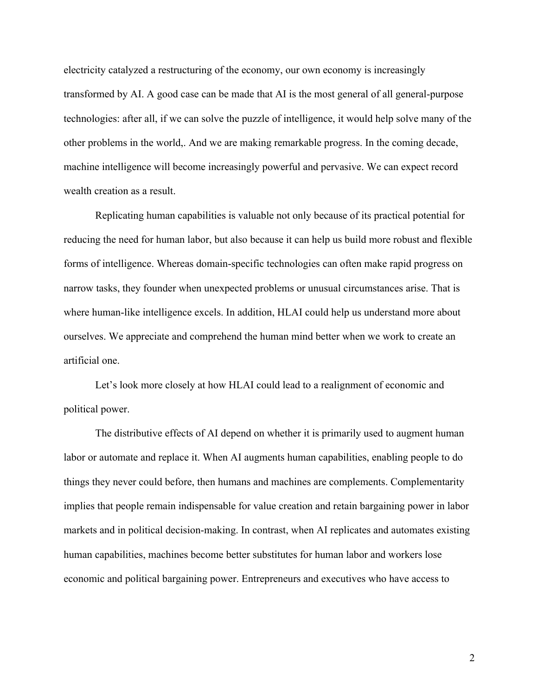electricity catalyzed a restructuring of the economy, our own economy is increasingly transformed by AI. A good case can be made that AI is the most general of all general-purpose technologies: after all, if we can solve the puzzle of intelligence, it would help solve many of the other problems in the world,. And we are making remarkable progress. In the coming decade, machine intelligence will become increasingly powerful and pervasive. We can expect record wealth creation as a result.

Replicating human capabilities is valuable not only because of its practical potential for reducing the need for human labor, but also because it can help us build more robust and flexible forms of intelligence. Whereas domain-specific technologies can often make rapid progress on narrow tasks, they founder when unexpected problems or unusual circumstances arise. That is where human-like intelligence excels. In addition, HLAI could help us understand more about ourselves. We appreciate and comprehend the human mind better when we work to create an artificial one.

Let's look more closely at how HLAI could lead to a realignment of economic and political power.

The distributive effects of AI depend on whether it is primarily used to augment human labor or automate and replace it. When AI augments human capabilities, enabling people to do things they never could before, then humans and machines are complements. Complementarity implies that people remain indispensable for value creation and retain bargaining power in labor markets and in political decision-making. In contrast, when AI replicates and automates existing human capabilities, machines become better substitutes for human labor and workers lose economic and political bargaining power. Entrepreneurs and executives who have access to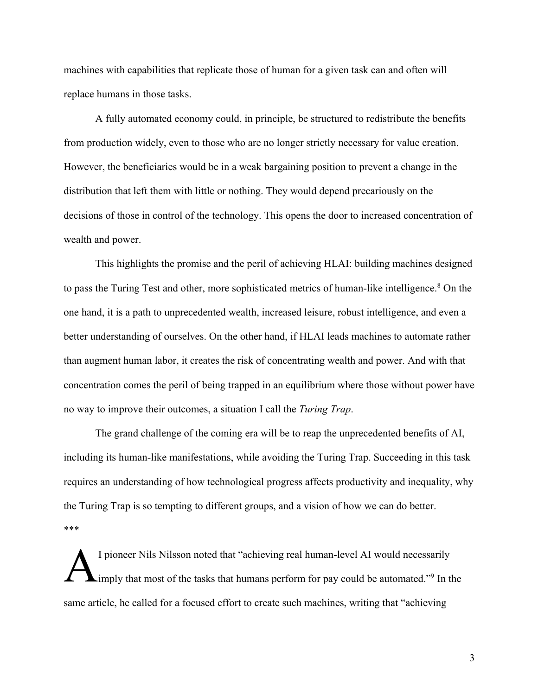machines with capabilities that replicate those of human for a given task can and often will replace humans in those tasks.

A fully automated economy could, in principle, be structured to redistribute the benefits from production widely, even to those who are no longer strictly necessary for value creation. However, the beneficiaries would be in a weak bargaining position to prevent a change in the distribution that left them with little or nothing. They would depend precariously on the decisions of those in control of the technology. This opens the door to increased concentration of wealth and power.

This highlights the promise and the peril of achieving HLAI: building machines designed to pass the Turing Test and other, more sophisticated metrics of human-like intelligence.<sup>8</sup> On the one hand, it is a path to unprecedented wealth, increased leisure, robust intelligence, and even a better understanding of ourselves. On the other hand, if HLAI leads machines to automate rather than augment human labor, it creates the risk of concentrating wealth and power. And with that concentration comes the peril of being trapped in an equilibrium where those without power have no way to improve their outcomes, a situation I call the *Turing Trap*.

The grand challenge of the coming era will be to reap the unprecedented benefits of AI, including its human-like manifestations, while avoiding the Turing Trap. Succeeding in this task requires an understanding of how technological progress affects productivity and inequality, why the Turing Trap is so tempting to different groups, and a vision of how we can do better. \*\*\*

I pioneer Nils Nilsson noted that "achieving real human-level AI would necessarily imply that most of the tasks that humans perform for pay could be automated."<sup>9</sup> In the same article, he called for a focused effort to create such machines, writing that "achieving A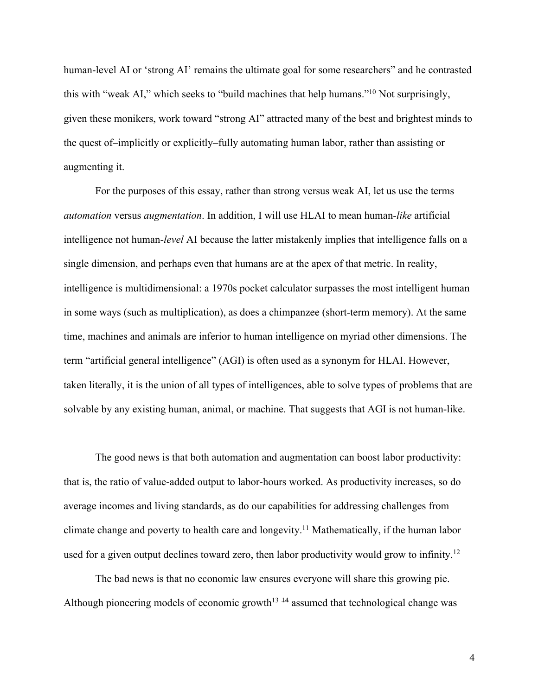human-level AI or 'strong AI' remains the ultimate goal for some researchers" and he contrasted this with "weak AI," which seeks to "build machines that help humans."10 Not surprisingly, given these monikers, work toward "strong AI" attracted many of the best and brightest minds to the quest of–implicitly or explicitly–fully automating human labor, rather than assisting or augmenting it.

For the purposes of this essay, rather than strong versus weak AI, let us use the terms *automation* versus *augmentation*. In addition, I will use HLAI to mean human-*like* artificial intelligence not human-*level* AI because the latter mistakenly implies that intelligence falls on a single dimension, and perhaps even that humans are at the apex of that metric. In reality, intelligence is multidimensional: a 1970s pocket calculator surpasses the most intelligent human in some ways (such as multiplication), as does a chimpanzee (short-term memory). At the same time, machines and animals are inferior to human intelligence on myriad other dimensions. The term "artificial general intelligence" (AGI) is often used as a synonym for HLAI. However, taken literally, it is the union of all types of intelligences, able to solve types of problems that are solvable by any existing human, animal, or machine. That suggests that AGI is not human-like.

The good news is that both automation and augmentation can boost labor productivity: that is, the ratio of value-added output to labor-hours worked. As productivity increases, so do average incomes and living standards, as do our capabilities for addressing challenges from climate change and poverty to health care and longevity.<sup>11</sup> Mathematically, if the human labor used for a given output declines toward zero, then labor productivity would grow to infinity.<sup>12</sup>

The bad news is that no economic law ensures everyone will share this growing pie. Although pioneering models of economic growth<sup>13  $+4$ </sup> assumed that technological change was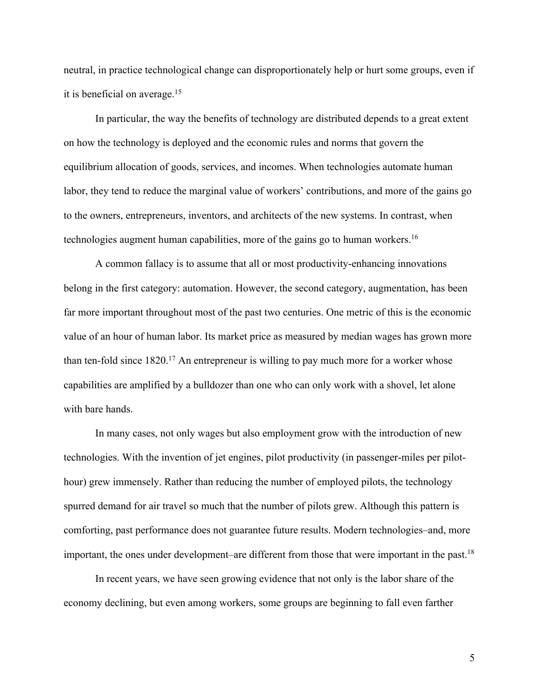neutral, in practice technological change can disproportionately help or hurt some groups, even if it is beneficial on average.15

In particular, the way the benefits of technology are distributed depends to a great extent on how the technology is deployed and the economic rules and norms that govern the equilibrium allocation of goods, services, and incomes. When technologies automate human labor, they tend to reduce the marginal value of workers' contributions, and more of the gains go to the owners, entrepreneurs, inventors, and architects of the new systems. In contrast, when technologies augment human capabilities, more of the gains go to human workers.16

A common fallacy is to assume that all or most productivity-enhancing innovations belong in the first category: automation. However, the second category, augmentation, has been far more important throughout most of the past two centuries. One metric of this is the economic value of an hour of human labor. Its market price as measured by median wages has grown more than ten-fold since  $1820$ <sup>17</sup> An entrepreneur is willing to pay much more for a worker whose capabilities are amplified by a bulldozer than one who can only work with a shovel, let alone with bare hands.

In many cases, not only wages but also employment grow with the introduction of new technologies. With the invention of jet engines, pilot productivity (in passenger-miles per pilothour) grew immensely. Rather than reducing the number of employed pilots, the technology spurred demand for air travel so much that the number of pilots grew. Although this pattern is comforting, past performance does not guarantee future results. Modern technologies–and, more important, the ones under development–are different from those that were important in the past.<sup>18</sup>

In recent years, we have seen growing evidence that not only is the labor share of the economy declining, but even among workers, some groups are beginning to fall even farther

5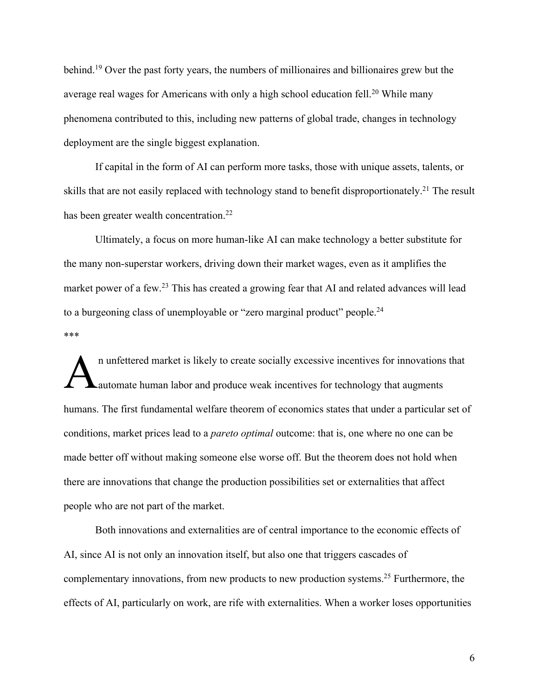behind.19 Over the past forty years, the numbers of millionaires and billionaires grew but the average real wages for Americans with only a high school education fell.<sup>20</sup> While many phenomena contributed to this, including new patterns of global trade, changes in technology deployment are the single biggest explanation.

If capital in the form of AI can perform more tasks, those with unique assets, talents, or skills that are not easily replaced with technology stand to benefit disproportionately.<sup>21</sup> The result has been greater wealth concentration.<sup>22</sup>

Ultimately, a focus on more human-like AI can make technology a better substitute for the many non-superstar workers, driving down their market wages, even as it amplifies the market power of a few.<sup>23</sup> This has created a growing fear that AI and related advances will lead to a burgeoning class of unemployable or "zero marginal product" people.<sup>24</sup> \*\*\*

n unfettered market is likely to create socially excessive incentives for innovations that automate human labor and produce weak incentives for technology that augments humans. The first fundamental welfare theorem of economics states that under a particular set of conditions, market prices lead to a *pareto optimal* outcome: that is, one where no one can be made better off without making someone else worse off. But the theorem does not hold when there are innovations that change the production possibilities set or externalities that affect people who are not part of the market. A

Both innovations and externalities are of central importance to the economic effects of AI, since AI is not only an innovation itself, but also one that triggers cascades of complementary innovations, from new products to new production systems.<sup>25</sup> Furthermore, the effects of AI, particularly on work, are rife with externalities. When a worker loses opportunities

6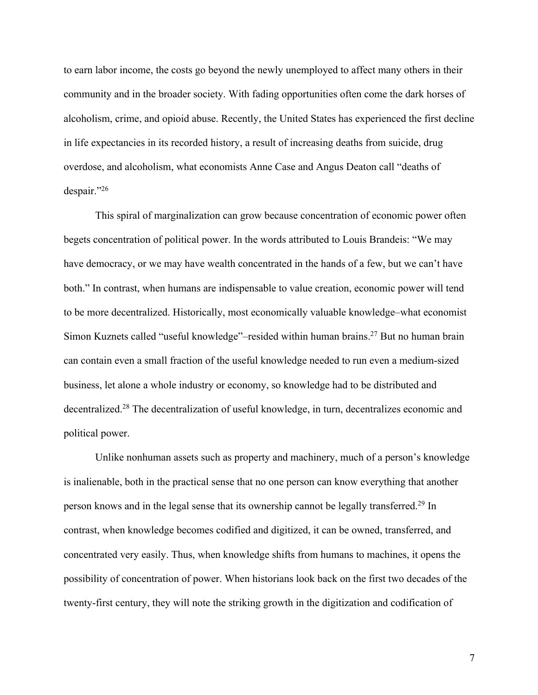to earn labor income, the costs go beyond the newly unemployed to affect many others in their community and in the broader society. With fading opportunities often come the dark horses of alcoholism, crime, and opioid abuse. Recently, the United States has experienced the first decline in life expectancies in its recorded history, a result of increasing deaths from suicide, drug overdose, and alcoholism, what economists Anne Case and Angus Deaton call "deaths of despair."26

This spiral of marginalization can grow because concentration of economic power often begets concentration of political power. In the words attributed to Louis Brandeis: "We may have democracy, or we may have wealth concentrated in the hands of a few, but we can't have both." In contrast, when humans are indispensable to value creation, economic power will tend to be more decentralized. Historically, most economically valuable knowledge–what economist Simon Kuznets called "useful knowledge"–resided within human brains.27 But no human brain can contain even a small fraction of the useful knowledge needed to run even a medium-sized business, let alone a whole industry or economy, so knowledge had to be distributed and decentralized.28 The decentralization of useful knowledge, in turn, decentralizes economic and political power.

Unlike nonhuman assets such as property and machinery, much of a person's knowledge is inalienable, both in the practical sense that no one person can know everything that another person knows and in the legal sense that its ownership cannot be legally transferred.<sup>29</sup> In contrast, when knowledge becomes codified and digitized, it can be owned, transferred, and concentrated very easily. Thus, when knowledge shifts from humans to machines, it opens the possibility of concentration of power. When historians look back on the first two decades of the twenty-first century, they will note the striking growth in the digitization and codification of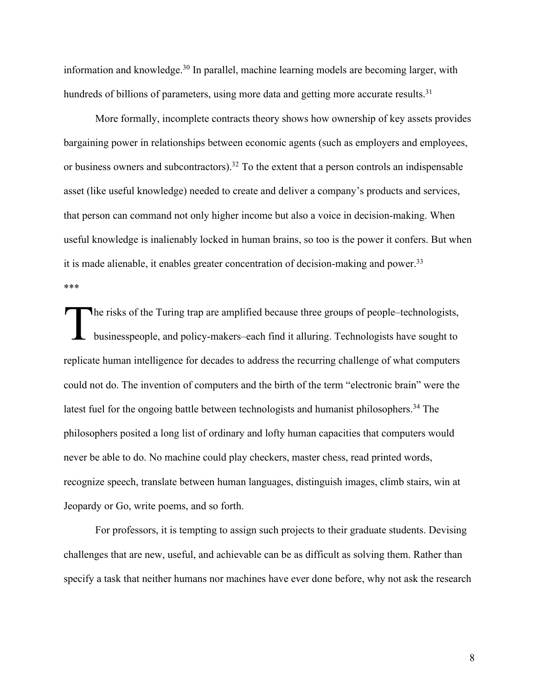information and knowledge.<sup>30</sup> In parallel, machine learning models are becoming larger, with hundreds of billions of parameters, using more data and getting more accurate results.<sup>31</sup>

More formally, incomplete contracts theory shows how ownership of key assets provides bargaining power in relationships between economic agents (such as employers and employees, or business owners and subcontractors).<sup>32</sup> To the extent that a person controls an indispensable asset (like useful knowledge) needed to create and deliver a company's products and services, that person can command not only higher income but also a voice in decision-making. When useful knowledge is inalienably locked in human brains, so too is the power it confers. But when it is made alienable, it enables greater concentration of decision-making and power.<sup>33</sup> \*\*\*

The risks of the Turing trap are amplified because three groups of people–technologists, businesspeople, and policy-makers–each find it alluring. Technologists have sought to replicate human intelligence for decades to address the recurring challenge of what computers could not do. The invention of computers and the birth of the term "electronic brain" were the latest fuel for the ongoing battle between technologists and humanist philosophers.<sup>34</sup> The philosophers posited a long list of ordinary and lofty human capacities that computers would never be able to do. No machine could play checkers, master chess, read printed words, recognize speech, translate between human languages, distinguish images, climb stairs, win at Jeopardy or Go, write poems, and so forth. T

For professors, it is tempting to assign such projects to their graduate students. Devising challenges that are new, useful, and achievable can be as difficult as solving them. Rather than specify a task that neither humans nor machines have ever done before, why not ask the research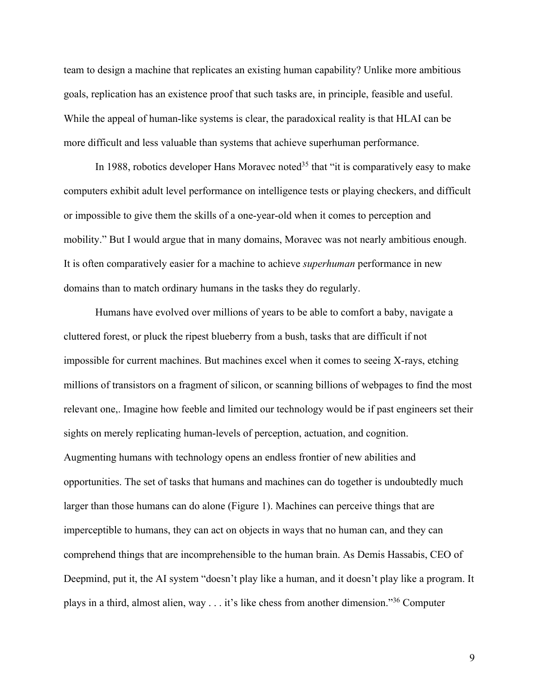team to design a machine that replicates an existing human capability? Unlike more ambitious goals, replication has an existence proof that such tasks are, in principle, feasible and useful. While the appeal of human-like systems is clear, the paradoxical reality is that HLAI can be more difficult and less valuable than systems that achieve superhuman performance.

In 1988, robotics developer Hans Moravec noted<sup>35</sup> that "it is comparatively easy to make computers exhibit adult level performance on intelligence tests or playing checkers, and difficult or impossible to give them the skills of a one-year-old when it comes to perception and mobility." But I would argue that in many domains, Moravec was not nearly ambitious enough. It is often comparatively easier for a machine to achieve *superhuman* performance in new domains than to match ordinary humans in the tasks they do regularly.

Humans have evolved over millions of years to be able to comfort a baby, navigate a cluttered forest, or pluck the ripest blueberry from a bush, tasks that are difficult if not impossible for current machines. But machines excel when it comes to seeing X-rays, etching millions of transistors on a fragment of silicon, or scanning billions of webpages to find the most relevant one,. Imagine how feeble and limited our technology would be if past engineers set their sights on merely replicating human-levels of perception, actuation, and cognition. Augmenting humans with technology opens an endless frontier of new abilities and opportunities. The set of tasks that humans and machines can do together is undoubtedly much larger than those humans can do alone (Figure 1). Machines can perceive things that are imperceptible to humans, they can act on objects in ways that no human can, and they can comprehend things that are incomprehensible to the human brain. As Demis Hassabis, CEO of Deepmind, put it, the AI system "doesn't play like a human, and it doesn't play like a program. It plays in a third, almost alien, way  $\dots$  it's like chess from another dimension."<sup>36</sup> Computer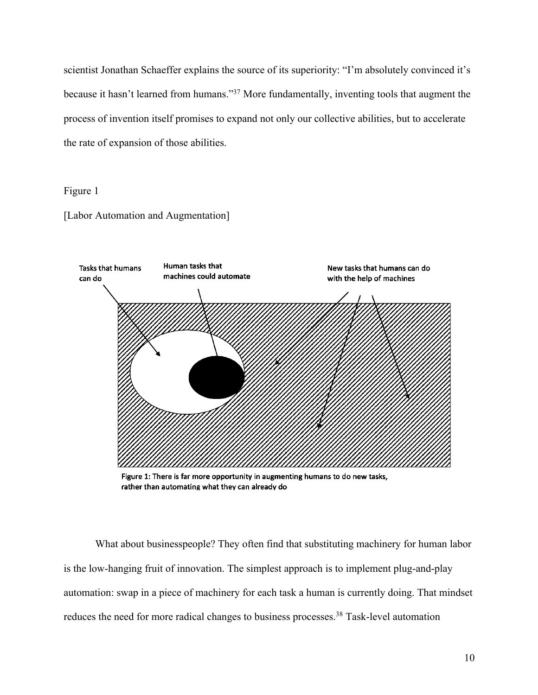scientist Jonathan Schaeffer explains the source of its superiority: "I'm absolutely convinced it's because it hasn't learned from humans."37 More fundamentally, inventing tools that augment the process of invention itself promises to expand not only our collective abilities, but to accelerate the rate of expansion of those abilities.

Figure 1

[Labor Automation and Augmentation]



Figure 1: There is far more opportunity in augmenting humans to do new tasks, rather than automating what they can already do

What about businesspeople? They often find that substituting machinery for human labor is the low-hanging fruit of innovation. The simplest approach is to implement plug-and-play automation: swap in a piece of machinery for each task a human is currently doing. That mindset reduces the need for more radical changes to business processes.<sup>38</sup> Task-level automation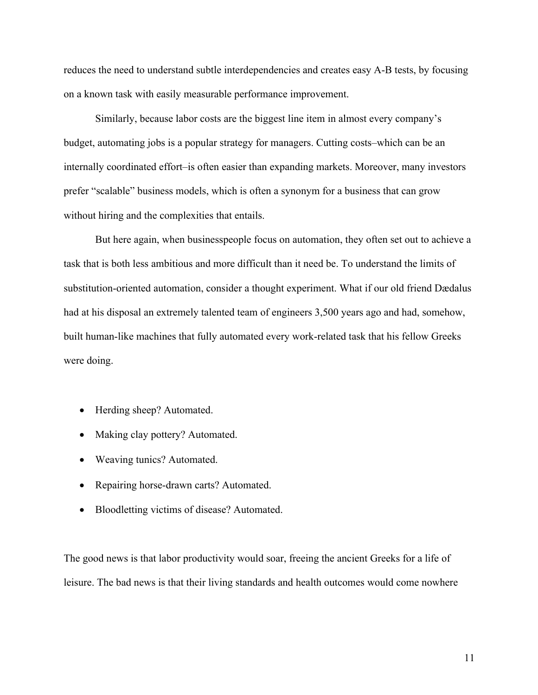reduces the need to understand subtle interdependencies and creates easy A-B tests, by focusing on a known task with easily measurable performance improvement.

Similarly, because labor costs are the biggest line item in almost every company's budget, automating jobs is a popular strategy for managers. Cutting costs–which can be an internally coordinated effort–is often easier than expanding markets. Moreover, many investors prefer "scalable" business models, which is often a synonym for a business that can grow without hiring and the complexities that entails.

But here again, when businesspeople focus on automation, they often set out to achieve a task that is both less ambitious and more difficult than it need be. To understand the limits of substitution-oriented automation, consider a thought experiment. What if our old friend Dædalus had at his disposal an extremely talented team of engineers 3,500 years ago and had, somehow, built human-like machines that fully automated every work-related task that his fellow Greeks were doing.

- Herding sheep? Automated.
- Making clay pottery? Automated.
- Weaving tunics? Automated.
- Repairing horse-drawn carts? Automated.
- Bloodletting victims of disease? Automated.

The good news is that labor productivity would soar, freeing the ancient Greeks for a life of leisure. The bad news is that their living standards and health outcomes would come nowhere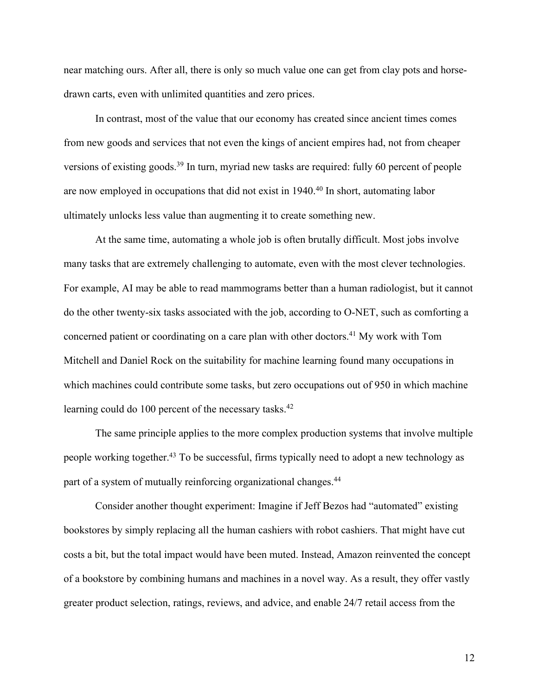near matching ours. After all, there is only so much value one can get from clay pots and horsedrawn carts, even with unlimited quantities and zero prices.

In contrast, most of the value that our economy has created since ancient times comes from new goods and services that not even the kings of ancient empires had, not from cheaper versions of existing goods.<sup>39</sup> In turn, myriad new tasks are required: fully 60 percent of people are now employed in occupations that did not exist in 1940.<sup>40</sup> In short, automating labor ultimately unlocks less value than augmenting it to create something new.

At the same time, automating a whole job is often brutally difficult. Most jobs involve many tasks that are extremely challenging to automate, even with the most clever technologies. For example, AI may be able to read mammograms better than a human radiologist, but it cannot do the other twenty-six tasks associated with the job, according to O-NET, such as comforting a concerned patient or coordinating on a care plan with other doctors.41 My work with Tom Mitchell and Daniel Rock on the suitability for machine learning found many occupations in which machines could contribute some tasks, but zero occupations out of 950 in which machine learning could do 100 percent of the necessary tasks.<sup>42</sup>

The same principle applies to the more complex production systems that involve multiple people working together.43 To be successful, firms typically need to adopt a new technology as part of a system of mutually reinforcing organizational changes.<sup>44</sup>

Consider another thought experiment: Imagine if Jeff Bezos had "automated" existing bookstores by simply replacing all the human cashiers with robot cashiers. That might have cut costs a bit, but the total impact would have been muted. Instead, Amazon reinvented the concept of a bookstore by combining humans and machines in a novel way. As a result, they offer vastly greater product selection, ratings, reviews, and advice, and enable 24/7 retail access from the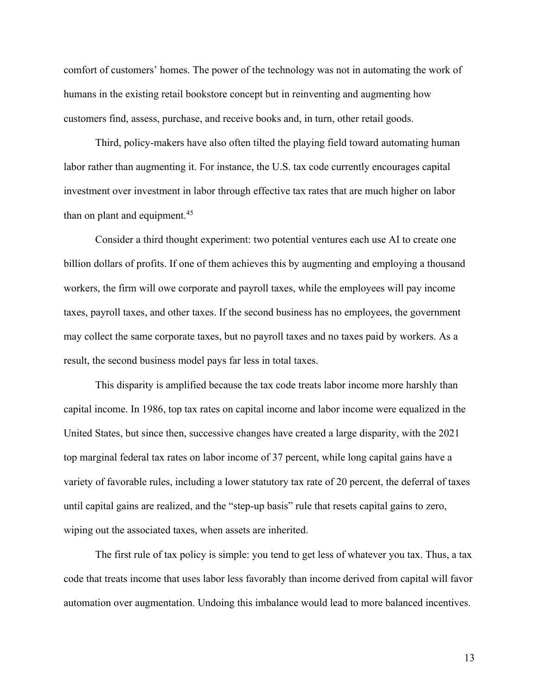comfort of customers' homes. The power of the technology was not in automating the work of humans in the existing retail bookstore concept but in reinventing and augmenting how customers find, assess, purchase, and receive books and, in turn, other retail goods.

Third, policy-makers have also often tilted the playing field toward automating human labor rather than augmenting it. For instance, the U.S. tax code currently encourages capital investment over investment in labor through effective tax rates that are much higher on labor than on plant and equipment.<sup>45</sup>

Consider a third thought experiment: two potential ventures each use AI to create one billion dollars of profits. If one of them achieves this by augmenting and employing a thousand workers, the firm will owe corporate and payroll taxes, while the employees will pay income taxes, payroll taxes, and other taxes. If the second business has no employees, the government may collect the same corporate taxes, but no payroll taxes and no taxes paid by workers. As a result, the second business model pays far less in total taxes.

This disparity is amplified because the tax code treats labor income more harshly than capital income. In 1986, top tax rates on capital income and labor income were equalized in the United States, but since then, successive changes have created a large disparity, with the 2021 top marginal federal tax rates on labor income of 37 percent, while long capital gains have a variety of favorable rules, including a lower statutory tax rate of 20 percent, the deferral of taxes until capital gains are realized, and the "step-up basis" rule that resets capital gains to zero, wiping out the associated taxes, when assets are inherited.

The first rule of tax policy is simple: you tend to get less of whatever you tax. Thus, a tax code that treats income that uses labor less favorably than income derived from capital will favor automation over augmentation. Undoing this imbalance would lead to more balanced incentives.

13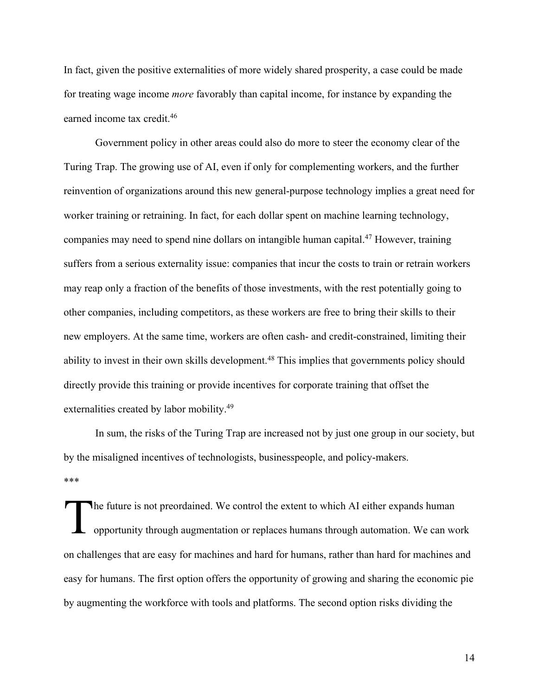In fact, given the positive externalities of more widely shared prosperity, a case could be made for treating wage income *more* favorably than capital income, for instance by expanding the earned income tax credit.46

Government policy in other areas could also do more to steer the economy clear of the Turing Trap. The growing use of AI, even if only for complementing workers, and the further reinvention of organizations around this new general-purpose technology implies a great need for worker training or retraining. In fact, for each dollar spent on machine learning technology, companies may need to spend nine dollars on intangible human capital.47 However, training suffers from a serious externality issue: companies that incur the costs to train or retrain workers may reap only a fraction of the benefits of those investments, with the rest potentially going to other companies, including competitors, as these workers are free to bring their skills to their new employers. At the same time, workers are often cash- and credit-constrained, limiting their ability to invest in their own skills development.<sup>48</sup> This implies that governments policy should directly provide this training or provide incentives for corporate training that offset the externalities created by labor mobility.<sup>49</sup>

In sum, the risks of the Turing Trap are increased not by just one group in our society, but by the misaligned incentives of technologists, businesspeople, and policy-makers. \*\*\*

he future is not preordained. We control the extent to which AI either expands human opportunity through augmentation or replaces humans through automation. We can work on challenges that are easy for machines and hard for humans, rather than hard for machines and easy for humans. The first option offers the opportunity of growing and sharing the economic pie by augmenting the workforce with tools and platforms. The second option risks dividing the T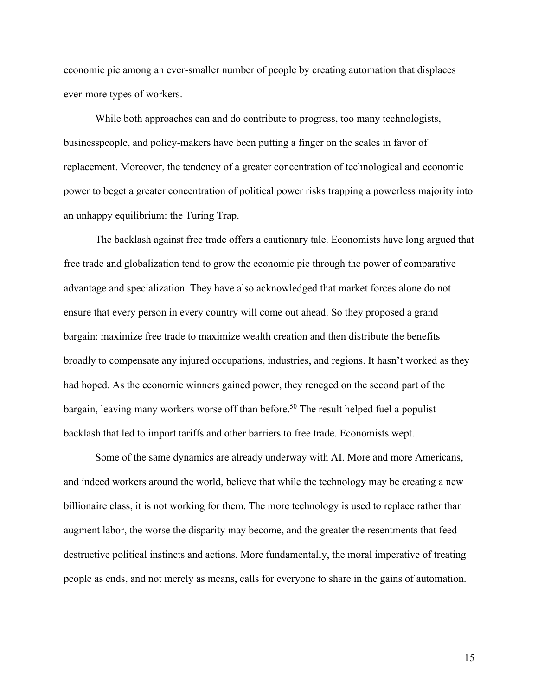economic pie among an ever-smaller number of people by creating automation that displaces ever-more types of workers.

While both approaches can and do contribute to progress, too many technologists, businesspeople, and policy-makers have been putting a finger on the scales in favor of replacement. Moreover, the tendency of a greater concentration of technological and economic power to beget a greater concentration of political power risks trapping a powerless majority into an unhappy equilibrium: the Turing Trap.

The backlash against free trade offers a cautionary tale. Economists have long argued that free trade and globalization tend to grow the economic pie through the power of comparative advantage and specialization. They have also acknowledged that market forces alone do not ensure that every person in every country will come out ahead. So they proposed a grand bargain: maximize free trade to maximize wealth creation and then distribute the benefits broadly to compensate any injured occupations, industries, and regions. It hasn't worked as they had hoped. As the economic winners gained power, they reneged on the second part of the bargain, leaving many workers worse off than before.<sup>50</sup> The result helped fuel a populist backlash that led to import tariffs and other barriers to free trade. Economists wept.

Some of the same dynamics are already underway with AI. More and more Americans, and indeed workers around the world, believe that while the technology may be creating a new billionaire class, it is not working for them. The more technology is used to replace rather than augment labor, the worse the disparity may become, and the greater the resentments that feed destructive political instincts and actions. More fundamentally, the moral imperative of treating people as ends, and not merely as means, calls for everyone to share in the gains of automation.

15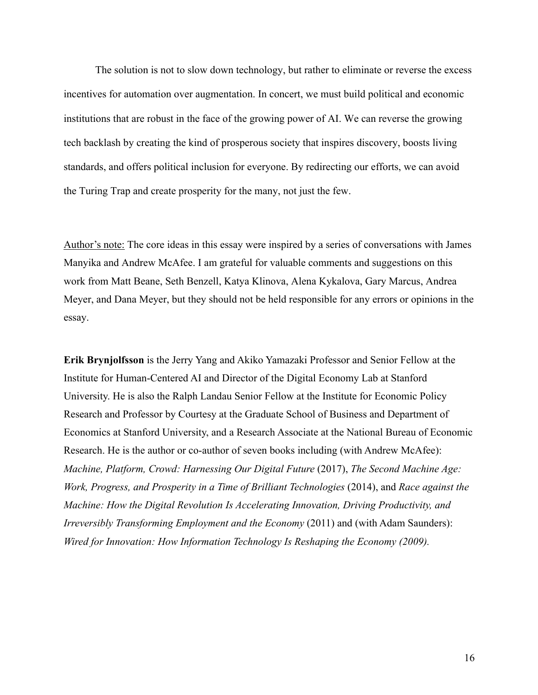The solution is not to slow down technology, but rather to eliminate or reverse the excess incentives for automation over augmentation. In concert, we must build political and economic institutions that are robust in the face of the growing power of AI. We can reverse the growing tech backlash by creating the kind of prosperous society that inspires discovery, boosts living standards, and offers political inclusion for everyone. By redirecting our efforts, we can avoid the Turing Trap and create prosperity for the many, not just the few.

Author's note: The core ideas in this essay were inspired by a series of conversations with James Manyika and Andrew McAfee. I am grateful for valuable comments and suggestions on this work from Matt Beane, Seth Benzell, Katya Klinova, Alena Kykalova, Gary Marcus, Andrea Meyer, and Dana Meyer, but they should not be held responsible for any errors or opinions in the essay.

**Erik Brynjolfsson** is the Jerry Yang and Akiko Yamazaki Professor and Senior Fellow at the Institute for Human-Centered AI and Director of the Digital Economy Lab at Stanford University. He is also the Ralph Landau Senior Fellow at the Institute for Economic Policy Research and Professor by Courtesy at the Graduate School of Business and Department of Economics at Stanford University, and a Research Associate at the National Bureau of Economic Research. He is the author or co-author of seven books including (with Andrew McAfee): *Machine, Platform, Crowd: Harnessing Our Digital Future* (2017), *The Second Machine Age: Work, Progress, and Prosperity in a Time of Brilliant Technologies* (2014), and *Race against the Machine: How the Digital Revolution Is Accelerating Innovation, Driving Productivity, and Irreversibly Transforming Employment and the Economy* (2011) and (with Adam Saunders): *Wired for Innovation: How Information Technology Is Reshaping the Economy (2009).*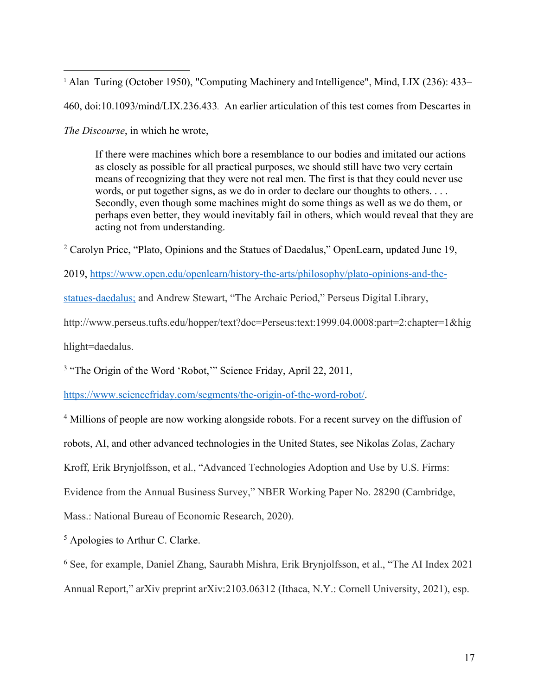<sup>1</sup> Alan Turing (October 1950), "Computing Machinery and Intelligence", Mind, LIX (236): 433– 460, doi:10.1093/mind/LIX.236.433*.* An earlier articulation of this test comes from Descartes in *The Discourse*, in which he wrote,

If there were machines which bore a resemblance to our bodies and imitated our actions as closely as possible for all practical purposes, we should still have two very certain means of recognizing that they were not real men. The first is that they could never use words, or put together signs, as we do in order to declare our thoughts to others. . . . Secondly, even though some machines might do some things as well as we do them, or perhaps even better, they would inevitably fail in others, which would reveal that they are acting not from understanding.

<sup>2</sup> Carolyn Price, "Plato, Opinions and the Statues of Daedalus," OpenLearn, updated June 19,

2019, https://www.open.edu/openlearn/history-the-arts/philosophy/plato-opinions-and-the-

statues-daedalus; and Andrew Stewart, "The Archaic Period," Perseus Digital Library,

http://www.perseus.tufts.edu/hopper/text?doc=Perseus:text:1999.04.0008:part=2:chapter=1&hig

hlight=daedalus.

<sup>3</sup> "The Origin of the Word 'Robot," Science Friday, April 22, 2011,

https://www.sciencefriday.com/segments/the-origin-of-the-word-robot/.

<sup>4</sup> Millions of people are now working alongside robots. For a recent survey on the diffusion of

robots, AI, and other advanced technologies in the United States, see Nikolas Zolas, Zachary

Kroff, Erik Brynjolfsson, et al., "Advanced Technologies Adoption and Use by U.S. Firms:

Evidence from the Annual Business Survey," NBER Working Paper No. 28290 (Cambridge,

Mass.: National Bureau of Economic Research, 2020).

<sup>5</sup> Apologies to Arthur C. Clarke.

<sup>6</sup> See, for example, Daniel Zhang, Saurabh Mishra, Erik Brynjolfsson, et al., "The AI Index 2021 Annual Report," arXiv preprint arXiv:2103.06312 (Ithaca, N.Y.: Cornell University, 2021), esp.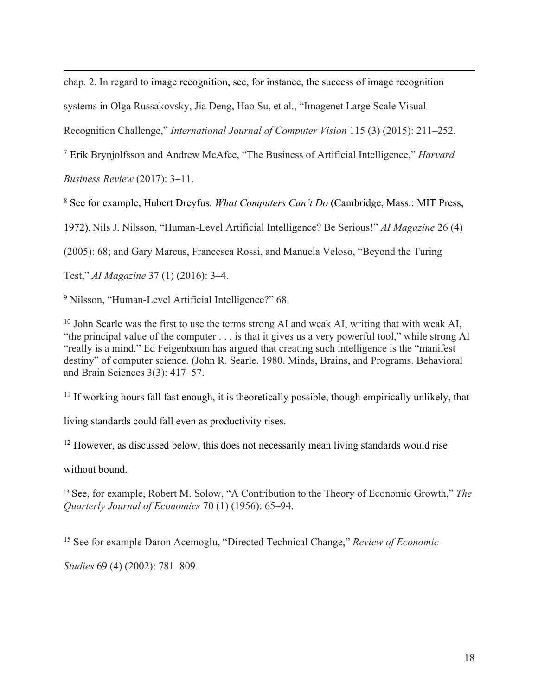chap. 2. In regard to image recognition, see, for instance, the success of image recognition systems in Olga Russakovsky, Jia Deng, Hao Su, et al., "Imagenet Large Scale Visual Recognition Challenge," *International Journal of Computer Vision* 115 (3) (2015): 211–252.

<sup>7</sup> Erik Brynjolfsson and Andrew McAfee, "The Business of Artificial Intelligence," *Harvard Business Review* (2017): 3–11.

<sup>8</sup> See for example, Hubert Dreyfus, *What Computers Can't Do* (Cambridge, Mass.: MIT Press,

1972), Nils J. Nilsson, "Human-Level Artificial Intelligence? Be Serious!" *AI Magazine* 26 (4)

(2005): 68; and Gary Marcus, Francesca Rossi, and Manuela Veloso, "Beyond the Turing

Test," *AI Magazine* 37 (1) (2016): 3–4.

<sup>9</sup> Nilsson, "Human-Level Artificial Intelligence?" 68.

<sup>10</sup> John Searle was the first to use the terms strong AI and weak AI, writing that with weak AI, "the principal value of the computer . . . is that it gives us a very powerful tool," while strong AI "really is a mind." Ed Feigenbaum has argued that creating such intelligence is the "manifest destiny" of computer science. (John R. Searle. 1980. Minds, Brains, and Programs. Behavioral and Brain Sciences 3(3): 417–57.

 $11$  If working hours fall fast enough, it is theoretically possible, though empirically unlikely, that

living standards could fall even as productivity rises.

 $12$  However, as discussed below, this does not necessarily mean living standards would rise

without bound.

<sup>13</sup> See, for example, Robert M. Solow, "A Contribution to the Theory of Economic Growth," *The Quarterly Journal of Economics* 70 (1) (1956): 65–94.

<sup>15</sup> See for example Daron Acemoglu, "Directed Technical Change," *Review of Economic* 

*Studies* 69 (4) (2002): 781–809.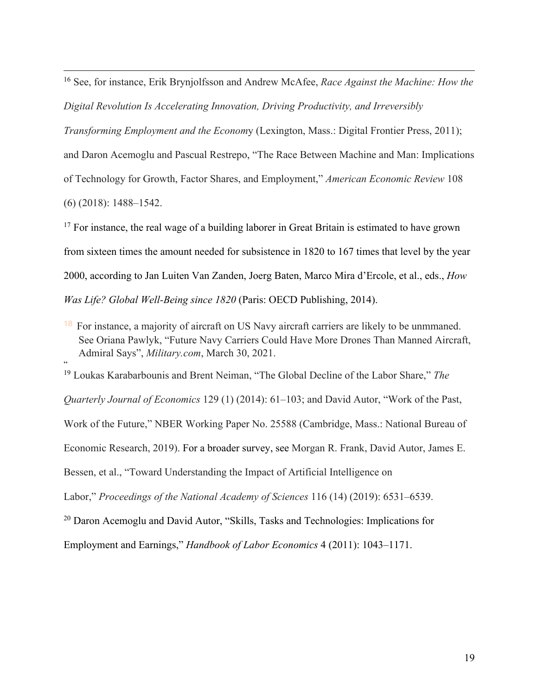<sup>16</sup> See, for instance, Erik Brynjolfsson and Andrew McAfee, *Race Against the Machine: How the Digital Revolution Is Accelerating Innovation, Driving Productivity, and Irreversibly* 

*Transforming Employment and the Econom*y (Lexington, Mass.: Digital Frontier Press, 2011);

and Daron Acemoglu and Pascual Restrepo, "The Race Between Machine and Man: Implications of Technology for Growth, Factor Shares, and Employment," *American Economic Review* 108 (6) (2018): 1488–1542.

<sup>17</sup> For instance, the real wage of a building laborer in Great Britain is estimated to have grown from sixteen times the amount needed for subsistence in 1820 to 167 times that level by the year 2000, according to Jan Luiten Van Zanden, Joerg Baten, Marco Mira d'Ercole, et al., eds., *How Was Life? Global Well-Being since 1820* (Paris: OECD Publishing, 2014).

<sup>18</sup> For instance, a majority of aircraft on US Navy aircraft carriers are likely to be unmmaned. See Oriana Pawlyk, "Future Navy Carriers Could Have More Drones Than Manned Aircraft, Admiral Says", *Military.com*, March 30, 2021. "

<sup>19</sup> Loukas Karabarbounis and Brent Neiman, "The Global Decline of the Labor Share," *The* 

*Quarterly Journal of Economics* 129 (1) (2014): 61–103; and David Autor, "Work of the Past,

Work of the Future," NBER Working Paper No. 25588 (Cambridge, Mass.: National Bureau of

Economic Research, 2019). For a broader survey, see Morgan R. Frank, David Autor, James E.

Bessen, et al., "Toward Understanding the Impact of Artificial Intelligence on

Labor," *Proceedings of the National Academy of Sciences* 116 (14) (2019): 6531–6539.

<sup>20</sup> Daron Acemoglu and David Autor, "Skills, Tasks and Technologies: Implications for

Employment and Earnings," *Handbook of Labor Economics* 4 (2011): 1043–1171.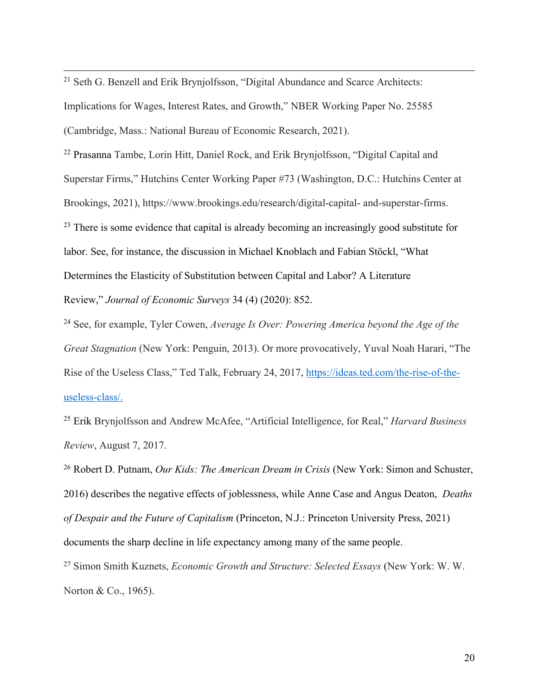<sup>21</sup> Seth G. Benzell and Erik Brynjolfsson, "Digital Abundance and Scarce Architects: Implications for Wages, Interest Rates, and Growth," NBER Working Paper No. 25585 (Cambridge, Mass.: National Bureau of Economic Research, 2021).

<sup>22</sup> Prasanna Tambe, Lorin Hitt, Daniel Rock, and Erik Brynjolfsson, "Digital Capital and Superstar Firms," Hutchins Center Working Paper #73 (Washington, D.C.: Hutchins Center at Brookings, 2021), https://www.brookings.edu/research/digital-capital- and-superstar-firms. <sup>23</sup> There is some evidence that capital is already becoming an increasingly good substitute for labor. See, for instance, the discussion in Michael Knoblach and Fabian Stöckl, "What Determines the Elasticity of Substitution between Capital and Labor? A Literature Review," *Journal of Economic Surveys* 34 (4) (2020): 852.

<sup>24</sup> See, for example, Tyler Cowen, *Average Is Over: Powering America beyond the Age of the Great Stagnation* (New York: Penguin, 2013). Or more provocatively, Yuval Noah Harari, "The Rise of the Useless Class," Ted Talk, February 24, 2017, https://ideas.ted.com/the-rise-of-theuseless-class/.

<sup>25</sup> Erik Brynjolfsson and Andrew McAfee, "Artificial Intelligence, for Real," *Harvard Business Review*, August 7, 2017.

<sup>26</sup> Robert D. Putnam, *Our Kids: The American Dream in Crisis* (New York: Simon and Schuster, 2016) describes the negative effects of joblessness, while Anne Case and Angus Deaton, *Deaths of Despair and the Future of Capitalism* (Princeton, N.J.: Princeton University Press, 2021) documents the sharp decline in life expectancy among many of the same people.

<sup>27</sup> Simon Smith Kuznets, *Economic Growth and Structure: Selected Essays* (New York: W. W. Norton & Co., 1965).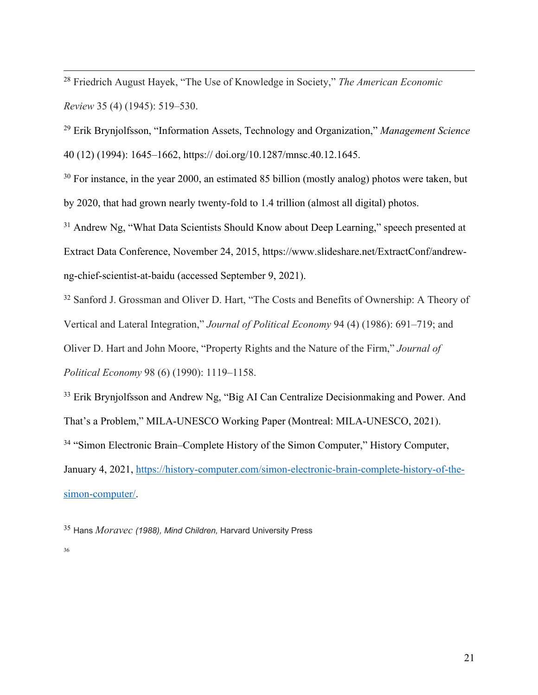<sup>28</sup> Friedrich August Hayek, "The Use of Knowledge in Society," *The American Economic Review* 35 (4) (1945): 519–530.

<sup>29</sup> Erik Brynjolfsson, "Information Assets, Technology and Organization," *Management Science* 40 (12) (1994): 1645–1662, https:// doi.org/10.1287/mnsc.40.12.1645.

<sup>30</sup> For instance, in the year 2000, an estimated 85 billion (mostly analog) photos were taken, but by 2020, that had grown nearly twenty-fold to 1.4 trillion (almost all digital) photos.

<sup>31</sup> Andrew Ng, "What Data Scientists Should Know about Deep Learning," speech presented at Extract Data Conference, November 24, 2015, https://www.slideshare.net/ExtractConf/andrewng-chief-scientist-at-baidu (accessed September 9, 2021).

<sup>32</sup> Sanford J. Grossman and Oliver D. Hart, "The Costs and Benefits of Ownership: A Theory of

Vertical and Lateral Integration," *Journal of Political Economy* 94 (4) (1986): 691–719; and

Oliver D. Hart and John Moore, "Property Rights and the Nature of the Firm," *Journal of* 

*Political Economy* 98 (6) (1990): 1119–1158.

<sup>33</sup> Erik Brynjolfsson and Andrew Ng, "Big AI Can Centralize Decisionmaking and Power. And That's a Problem," MILA-UNESCO Working Paper (Montreal: MILA-UNESCO, 2021). <sup>34</sup> "Simon Electronic Brain–Complete History of the Simon Computer," History Computer, January 4, 2021, https://history-computer.com/simon-electronic-brain-complete-history-of-the-

simon-computer/.

<sup>35</sup> Hans *Moravec (1988), Mind Children,* Harvard University Press

<sup>36</sup> Will Knight "Alpha Zero's 'Alien' Chess Shows the Power, and the Peculiarity, of AI" *Technology*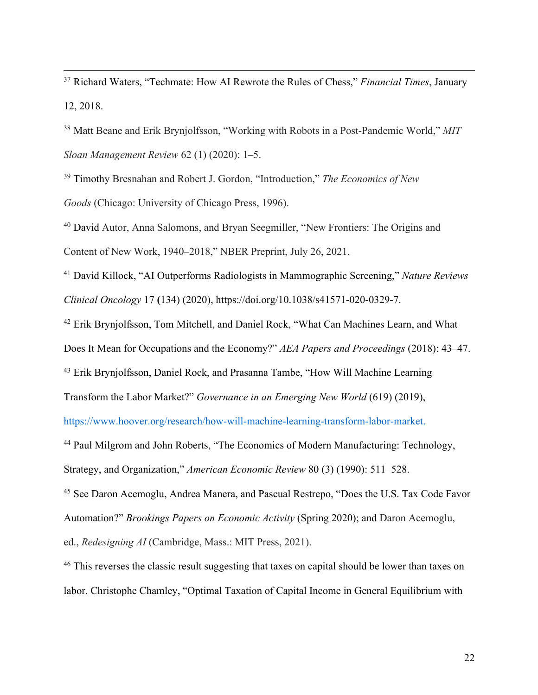<sup>37</sup> Richard Waters, "Techmate: How AI Rewrote the Rules of Chess," *Financial Times*, January 12, 2018.

<sup>38</sup> Matt Beane and Erik Brynjolfsson, "Working with Robots in a Post-Pandemic World," *MIT Sloan Management Review* 62 (1) (2020): 1–5.

<sup>39</sup> Timothy Bresnahan and Robert J. Gordon, "Introduction," *The Economics of New Goods* (Chicago: University of Chicago Press, 1996).

<sup>40</sup> David Autor, Anna Salomons, and Bryan Seegmiller, "New Frontiers: The Origins and Content of New Work, 1940–2018," NBER Preprint, July 26, 2021.

<sup>41</sup> David Killock, "AI Outperforms Radiologists in Mammographic Screening," *Nature Reviews Clinical Oncology* 17 **(**134) (2020), https://doi.org/10.1038/s41571-020-0329-7.

<sup>42</sup> Erik Brynjolfsson, Tom Mitchell, and Daniel Rock, "What Can Machines Learn, and What

Does It Mean for Occupations and the Economy?" *AEA Papers and Proceedings* (2018): 43–47.

<sup>43</sup> Erik Brynjolfsson, Daniel Rock, and Prasanna Tambe, "How Will Machine Learning

Transform the Labor Market?" *Governance in an Emerging New World* (619) (2019),

https://www.hoover.org/research/how-will-machine-learning-transform-labor-market.

<sup>44</sup> Paul Milgrom and John Roberts, "The Economics of Modern Manufacturing: Technology,

Strategy, and Organization," *American Economic Review* 80 (3) (1990): 511–528.

<sup>45</sup> See Daron Acemoglu, Andrea Manera, and Pascual Restrepo, "Does the U.S. Tax Code Favor

Automation?" *Brookings Papers on Economic Activity* (Spring 2020); and Daron Acemoglu,

ed., *Redesigning AI* (Cambridge, Mass.: MIT Press, 2021).

<sup>46</sup> This reverses the classic result suggesting that taxes on capital should be lower than taxes on labor. Christophe Chamley, "Optimal Taxation of Capital Income in General Equilibrium with